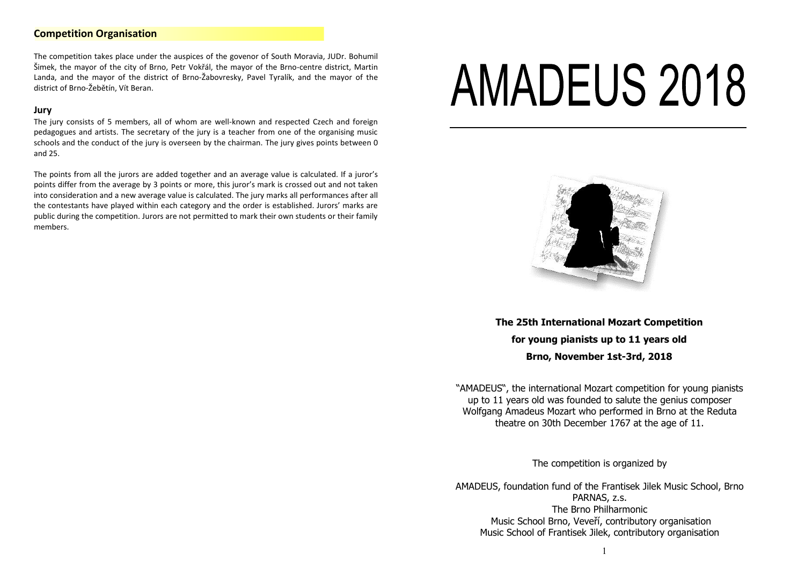# **Competition Organisation**

The competition takes place under the auspices of the govenor of South Moravia, JUDr. Bohumil Šimek, the mayor of the city of Brno, Petr Vokřál, the mayor of the Brno-centre district, Martin Landa, and the mayor of the district of Brno-Žabovresky, Pavel Tyralík, and the mayor of the district of Brno-Žebětín, Vít Beran.

#### **Jury**

The jury consists of 5 members, all of whom are well-known and respected Czech and foreign pedagogues and artists. The secretary of the jury is a teacher from one of the organising music schools and the conduct of the jury is overseen by the chairman. The jury gives points between 0 and 25.

The points from all the jurors are added together and an average value is calculated. If a juror's points differ from the average by 3 points or more, this juror's mark is crossed out and not taken into consideration and a new average value is calculated. The jury marks all performances after all the contestants have played within each category and the order is established. Jurors' marks are public during the competition. Jurors are not permitted to mark their own students or their family members.

# **AMADEUS 2018**

j



**The 25th International Mozart Competition for young pianists up to 11 years old Brno, November 1st-3rd, 2018**

"AMADEUS", the international Mozart competition for young pianists up to 11 years old was founded to salute the genius composer Wolfgang Amadeus Mozart who performed in Brno at the Reduta theatre on 30th December 1767 at the age of 11.

The competition is organized by

AMADEUS, foundation fund of the Frantisek Jilek Music School, Brno PARNAS, z.s. The Brno Philharmonic Music School Brno, Veveří, contributory organisation Music School of Frantisek Jilek, contributory organisation